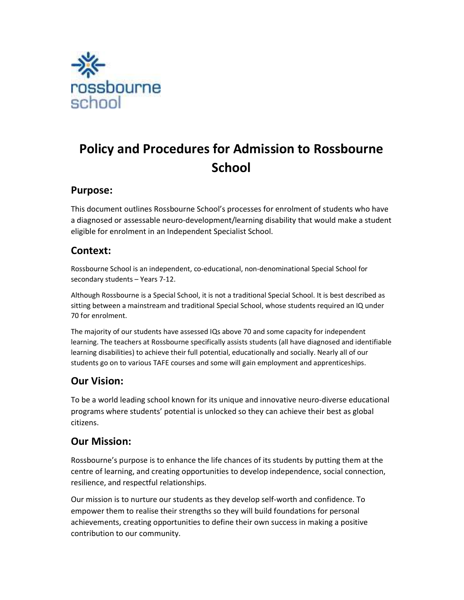

# Policy and Procedures for Admission to Rossbourne **School**

### Purpose:

This document outlines Rossbourne School's processes for enrolment of students who have a diagnosed or assessable neuro-development/learning disability that would make a student eligible for enrolment in an Independent Specialist School.

### Context:

Rossbourne School is an independent, co-educational, non-denominational Special School for secondary students – Years 7-12.

Although Rossbourne is a Special School, it is not a traditional Special School. It is best described as sitting between a mainstream and traditional Special School, whose students required an IQ under 70 for enrolment.

The majority of our students have assessed IQs above 70 and some capacity for independent learning. The teachers at Rossbourne specifically assists students (all have diagnosed and identifiable learning disabilities) to achieve their full potential, educationally and socially. Nearly all of our students go on to various TAFE courses and some will gain employment and apprenticeships.

### Our Vision:

To be a world leading school known for its unique and innovative neuro-diverse educational programs where students' potential is unlocked so they can achieve their best as global citizens.

### Our Mission:

Rossbourne's purpose is to enhance the life chances of its students by putting them at the centre of learning, and creating opportunities to develop independence, social connection, resilience, and respectful relationships.

Our mission is to nurture our students as they develop self-worth and confidence. To empower them to realise their strengths so they will build foundations for personal achievements, creating opportunities to define their own success in making a positive contribution to our community.